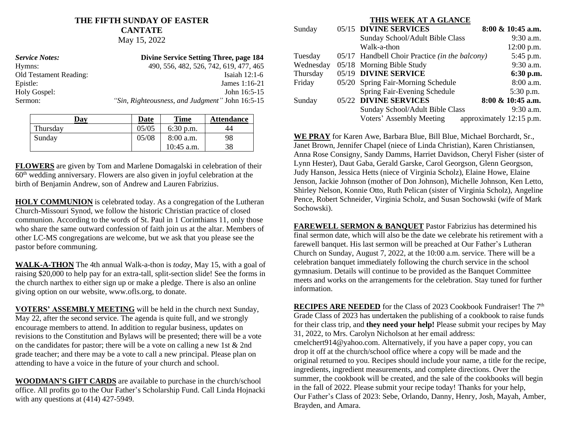#### **THE FIFTH SUNDAY OF EASTER CANTATE** May 15, 2022

| <b>Service Notes:</b>         | Divine Service Setting Three, page 184          |
|-------------------------------|-------------------------------------------------|
| Hymns:                        | 490, 556, 482, 526, 742, 619, 477, 465          |
| <b>Old Testament Reading:</b> | Isaiah $12:1-6$                                 |
| Epistle:                      | James $1:16-21$                                 |
| Holy Gospel:                  | John 16:5-15                                    |
| Sermon:                       | "Sin, Righteousness, and Judgment" John 16:5-15 |

| Day      | <b>Date</b> | <b>Time</b> | <b>Attendance</b> |
|----------|-------------|-------------|-------------------|
| Thursday | 05/05       | $6:30$ p.m. | 44                |
| Sunday   | 05/08       | 8:00 a.m.   | 98                |
|          |             | 10:45 a.m.  | 38                |

**FLOWERS** are given by Tom and Marlene Domagalski in celebration of their  $60<sup>th</sup>$  wedding anniversary. Flowers are also given in joyful celebration at the birth of Benjamin Andrew, son of Andrew and Lauren Fabrizius.

**HOLY COMMUNION** is celebrated today. As a congregation of the Lutheran Church-Missouri Synod, we follow the historic Christian practice of closed communion. According to the words of St. Paul in 1 Corinthians 11, only those who share the same outward confession of faith join us at the altar. Members of other LC-MS congregations are welcome, but we ask that you please see the pastor before communing.

**WALK-A-THON** The 4th annual Walk-a-thon is *today*, May 15, with a goal of raising \$20,000 to help pay for an extra-tall, split-section slide! See the forms in the church narthex to either sign up or make a pledge. There is also an online giving option on our website, www.ofls.org, to donate.

**VOTERS' ASSEMBLY MEETING** will be held in the church next Sunday, May 22, after the second service. The agenda is quite full, and we strongly encourage members to attend. In addition to regular business, updates on revisions to the Constitution and Bylaws will be presented; there will be a vote on the candidates for pastor; there will be a vote on calling a new 1st & 2nd grade teacher; and there may be a vote to call a new principal. Please plan on attending to have a voice in the future of your church and school.

**WOODMAN'S GIFT CARDS** are available to purchase in the church/school office. All profits go to the Our Father's Scholarship Fund. Call Linda Hojnacki with any questions at (414) 427-5949.

#### **THIS WEEK AT A GLANCE**

| Sunday    | 05/15 DIVINE SERVICES                          | 8:00 & 10:45 a.m.        |
|-----------|------------------------------------------------|--------------------------|
|           | Sunday School/Adult Bible Class                | 9:30 a.m.                |
|           | Walk-a-thon                                    | $12:00$ p.m.             |
| Tuesday   | 05/17 Handbell Choir Practice (in the balcony) | 5:45 p.m.                |
| Wednesday | 05/18 Morning Bible Study                      | 9:30 a.m.                |
| Thursday  | 05/19 DIVINE SERVICE                           | 6:30 p.m.                |
| Friday    | 05/20 Spring Fair-Morning Schedule             | 8:00 a.m.                |
|           | Spring Fair-Evening Schedule                   | $5:30$ p.m.              |
| Sunday    | 05/22 DIVINE SERVICES                          | 8:00 & 10:45 a.m.        |
|           | Sunday School/Adult Bible Class                | 9:30 a.m.                |
|           | Voters' Assembly Meeting                       | approximately 12:15 p.m. |

**WE PRAY** for Karen Awe, Barbara Blue, Bill Blue, Michael Borchardt, Sr., Janet Brown, Jennifer Chapel (niece of Linda Christian), Karen Christiansen, Anna Rose Consigny, Sandy Damms, Harriet Davidson, Cheryl Fisher (sister of Lynn Hester), Daut Gaba, Gerald Garske, Carol Georgson, Glenn Georgson, Judy Hanson, Jessica Hetts (niece of Virginia Scholz), Elaine Howe, Elaine Jenson, Jackie Johnson (mother of Don Johnson), Michelle Johnson, Ken Letto, Shirley Nelson, Konnie Otto, Ruth Pelican (sister of Virginia Scholz), Angeline Pence, Robert Schneider, Virginia Scholz, and Susan Sochowski (wife of Mark Sochowski).

**FAREWELL SERMON & BANQUET** Pastor Fabrizius has determined his final sermon date, which will also be the date we celebrate his retirement with a farewell banquet. His last sermon will be preached at Our Father's Lutheran Church on Sunday, August 7, 2022, at the 10:00 a.m. service. There will be a celebration banquet immediately following the church service in the school gymnasium. Details will continue to be provided as the Banquet Committee meets and works on the arrangements for the celebration. Stay tuned for further information.

**RECIPES ARE NEEDED** for the Class of 2023 Cookbook Fundraiser! The 7<sup>th</sup> Grade Class of 2023 has undertaken the publishing of a cookbook to raise funds for their class trip, and **they need your help!** Please submit your recipes by May 31, 2022, to Mrs. Carolyn Nicholson at her email address: cmelchert914@yahoo.com. Alternatively, if you have a paper copy, you can drop it off at the church/school office where a copy will be made and the original returned to you. Recipes should include your name, a title for the recipe, ingredients, ingredient measurements, and complete directions. Over the summer, the cookbook will be created, and the sale of the cookbooks will begin in the fall of 2022. Please submit your recipe today! Thanks for your help, Our Father's Class of 2023: Sebe, Orlando, Danny, Henry, Josh, Mayah, Amber, Brayden, and Amara.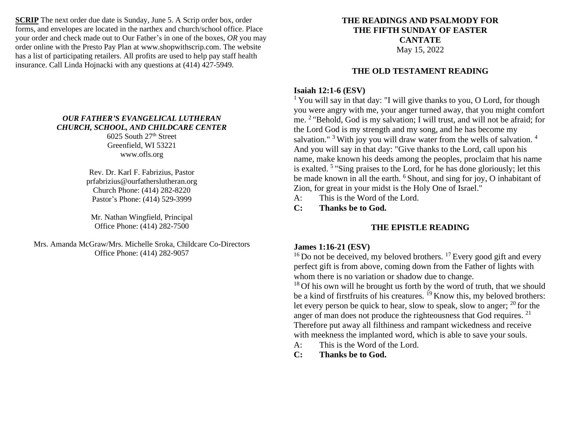**SCRIP** The next order due date is Sunday, June 5. A Scrip order box, order forms, and envelopes are located in the narthex and church/school office. Place your order and check made out to Our Father's in one of the boxes, *OR* you may order online with the Presto Pay Plan at www.shopwithscrip.com. The website has a list of participating retailers. All profits are used to help pay staff health insurance. Call Linda Hojnacki with any questions at (414) 427-5949.

#### *OUR FATHER'S EVANGELICAL LUTHERAN CHURCH, SCHOOL, AND CHILDCARE CENTER*

6025 South 27 th Street Greenfield, WI 53221 www.ofls.org

Rev. Dr. Karl F. Fabrizius, Pastor prfabrizius@ourfatherslutheran.org Church Phone: (414) 282-8220 Pastor's Phone: (414) 529-3999

Mr. Nathan Wingfield, Principal Office Phone: (414) 282-7500

Mrs. Amanda McGraw/Mrs. Michelle Sroka, Childcare Co-Directors Office Phone: (414) 282-9057

### **THE READINGS AND PSALMODY FOR THE FIFTH SUNDAY OF EASTER CANTATE** May 15, 2022

## **THE OLD TESTAMENT READING**

#### **Isaiah 12:1-6 (ESV)**

<sup>1</sup> You will say in that day: "I will give thanks to you, O Lord, for though you were angry with me, your anger turned away, that you might comfort me. <sup>2</sup>"Behold, God is my salvation; I will trust, and will not be afraid; for the Lord God is my strength and my song, and he has become my salvation." <sup>3</sup> With joy you will draw water from the wells of salvation. <sup>4</sup> And you will say in that day: "Give thanks to the Lord, call upon his name, make known his deeds among the peoples, proclaim that his name is exalted. <sup>5</sup>"Sing praises to the Lord, for he has done gloriously; let this be made known in all the earth. <sup>6</sup> Shout, and sing for joy, O inhabitant of Zion, for great in your midst is the Holy One of Israel."

A: This is the Word of the Lord.

**C: Thanks be to God.**

## **THE EPISTLE READING**

#### **James 1:16-21 (ESV)**

 $16$  Do not be deceived, my beloved brothers.  $17$  Every good gift and every perfect gift is from above, coming down from the Father of lights with whom there is no variation or shadow due to change.

 $18$  Of his own will he brought us forth by the word of truth, that we should be a kind of firstfruits of his creatures.  $^{19}$  Know this, my beloved brothers: let every person be quick to hear, slow to speak, slow to anger;  $^{20}$  for the anger of man does not produce the righteousness that God requires. <sup>21</sup> Therefore put away all filthiness and rampant wickedness and receive with meekness the implanted word, which is able to save your souls.

- A: This is the Word of the Lord.
- **C: Thanks be to God.**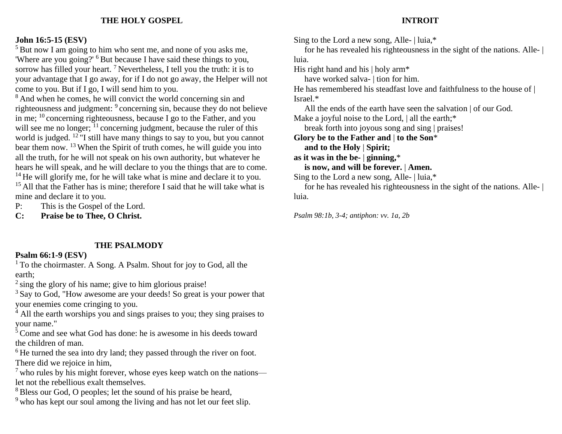#### **THE HOLY GOSPEL**

#### **INTROIT**

#### **John 16:5-15 (ESV)**

 $5$  But now I am going to him who sent me, and none of you asks me, 'Where are you going?' <sup>6</sup> But because I have said these things to you, sorrow has filled your heart.  $\frac{7}{1}$  Nevertheless, I tell you the truth: it is to your advantage that I go away, for if I do not go away, the Helper will not come to you. But if I go, I will send him to you.

<sup>8</sup> And when he comes, he will convict the world concerning sin and righteousness and judgment: <sup>9</sup> concerning sin, because they do not believe in me;  $^{10}$  concerning righteousness, because I go to the Father, and you will see me no longer;  $^{11}$  concerning judgment, because the ruler of this world is judged. <sup>12"</sup>I still have many things to say to you, but you cannot bear them now. <sup>13</sup> When the Spirit of truth comes, he will guide you into all the truth, for he will not speak on his own authority, but whatever he hears he will speak, and he will declare to you the things that are to come. <sup>14</sup> He will glorify me, for he will take what is mine and declare it to you.

 $15$  All that the Father has is mine; therefore I said that he will take what is mine and declare it to you.

P: This is the Gospel of the Lord.

**C: Praise be to Thee, O Christ.**

#### **THE PSALMODY**

#### **Psalm 66:1-9 (ESV)**

 $1$ <sup>1</sup> To the choirmaster. A Song. A Psalm. Shout for joy to God, all the earth;

 $2$  sing the glory of his name; give to him glorious praise!

<sup>3</sup> Say to God, "How awesome are your deeds! So great is your power that your enemies come cringing to you.

 $<sup>4</sup>$  All the earth worships you and sings praises to you; they sing praises to</sup> your name."

<sup>5</sup> Come and see what God has done: he is awesome in his deeds toward the children of man.

<sup>6</sup>He turned the sea into dry land; they passed through the river on foot. There did we rejoice in him,

 $<sup>7</sup>$  who rules by his might forever, whose eyes keep watch on the nations—</sup> let not the rebellious exalt themselves.

<sup>8</sup> Bless our God, O peoples; let the sound of his praise be heard,

<sup>9</sup> who has kept our soul among the living and has not let our feet slip.

Sing to the Lord a new song, Alle- | luia,\*

 for he has revealed his righteousness in the sight of the nations. Alle- | luia.

His right hand and his  $\vert$  holy arm\*

have worked salva- | tion for him.

He has remembered his steadfast love and faithfulness to the house of  $|$ Israel.\*

All the ends of the earth have seen the salvation | of our God.

Make a joyful noise to the Lord, | all the earth;\*

break forth into joyous song and sing | praises!

**Glory be to the Father and** | **to the Son**\*

 **and to the Holy** | **Spirit;**

**as it was in the be-** | **ginning,**\*

 **is now, and will be forever.** | **Amen.**

Sing to the Lord a new song, Alle- | luia,\*

 for he has revealed his righteousness in the sight of the nations. Alle- | luia.

*Psalm 98:1b, 3-4; antiphon: vv. 1a, 2b*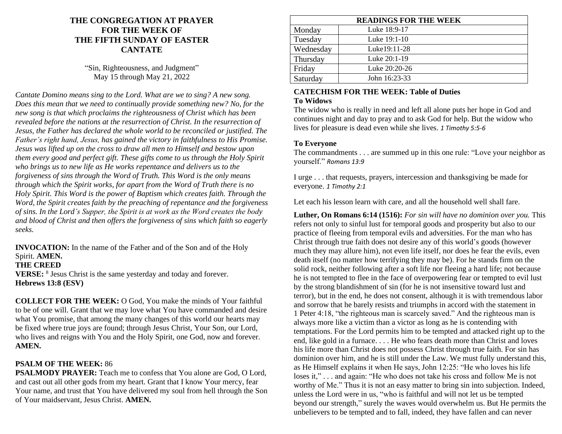### **THE CONGREGATION AT PRAYER FOR THE WEEK OF THE FIFTH SUNDAY OF EASTER CANTATE**

"Sin, Righteousness, and Judgment" May 15 through May 21, 2022

*Cantate Domino means sing to the Lord. What are we to sing? A new song. Does this mean that we need to continually provide something new? No, for the new song is that which proclaims the righteousness of Christ which has been revealed before the nations at the resurrection of Christ. In the resurrection of Jesus, the Father has declared the whole world to be reconciled or justified. The Father's right hand, Jesus, has gained the victory in faithfulness to His Promise. Jesus was lifted up on the cross to draw all men to Himself and bestow upon them every good and perfect gift. These gifts come to us through the Holy Spirit who brings us to new life as He works repentance and delivers us to the forgiveness of sins through the Word of Truth. This Word is the only means through which the Spirit works, for apart from the Word of Truth there is no Holy Spirit. This Word is the power of Baptism which creates faith. Through the Word, the Spirit creates faith by the preaching of repentance and the forgiveness of sins. In the Lord's Supper, the Spirit is at work as the Word creates the body and blood of Christ and then offers the forgiveness of sins which faith so eagerly seeks.*

**INVOCATION:** In the name of the Father and of the Son and of the Holy Spirit. **AMEN.**

**THE CREED**

VERSE: <sup>8</sup> Jesus Christ is the same yesterday and today and forever. **Hebrews 13:8 (ESV)**

**COLLECT FOR THE WEEK:** O God, You make the minds of Your faithful to be of one will. Grant that we may love what You have commanded and desire what You promise, that among the many changes of this world our hearts may be fixed where true joys are found; through Jesus Christ, Your Son, our Lord, who lives and reigns with You and the Holy Spirit, one God, now and forever. **AMEN.**

#### **PSALM OF THE WEEK:** 86

**PSALMODY PRAYER:** Teach me to confess that You alone are God, O Lord, and cast out all other gods from my heart. Grant that I know Your mercy, fear Your name, and trust that You have delivered my soul from hell through the Son of Your maidservant, Jesus Christ. **AMEN.**

| <b>READINGS FOR THE WEEK</b> |               |
|------------------------------|---------------|
| Monday                       | Luke 18:9-17  |
| Tuesday                      | Luke 19:1-10  |
| Wednesday                    | Luke19:11-28  |
| Thursday                     | Luke 20:1-19  |
| Friday                       | Luke 20:20-26 |
| Saturday                     | John 16:23-33 |

#### **CATECHISM FOR THE WEEK: Table of Duties To Widows**

The widow who is really in need and left all alone puts her hope in God and continues night and day to pray and to ask God for help. But the widow who lives for pleasure is dead even while she lives. *1 Timothy 5:5-6*

#### **To Everyone**

The commandments . . . are summed up in this one rule: "Love your neighbor as yourself." *Romans 13:9*

I urge . . . that requests, prayers, intercession and thanksgiving be made for everyone. *1 Timothy 2:1*

Let each his lesson learn with care, and all the household well shall fare.

**Luther, On Romans 6:14 (1516):** *For sin will have no dominion over you.* This refers not only to sinful lust for temporal goods and prosperity but also to our practice of fleeing from temporal evils and adversities. For the man who has Christ through true faith does not desire any of this world's goods (however much they may allure him), not even life itself, nor does he fear the evils, even death itself (no matter how terrifying they may be). For he stands firm on the solid rock, neither following after a soft life nor fleeing a hard life; not because he is not tempted to flee in the face of overpowering fear or tempted to evil lust by the strong blandishment of sin (for he is not insensitive toward lust and terror), but in the end, he does not consent, although it is with tremendous labor and sorrow that he barely resists and triumphs in accord with the statement in 1 Peter 4:18, "the righteous man is scarcely saved." And the righteous man is always more like a victim than a victor as long as he is contending with temptations. For the Lord permits him to be tempted and attacked right up to the end, like gold in a furnace. . . . He who fears death more than Christ and loves his life more than Christ does not possess Christ through true faith. For sin has dominion over him, and he is still under the Law. We must fully understand this, as He Himself explains it when He says, John 12:25: "He who loves his life loses it," . . . and again: "He who does not take his cross and follow Me is not worthy of Me." Thus it is not an easy matter to bring sin into subjection. Indeed, unless the Lord were in us, "who is faithful and will not let us be tempted beyond our strength," surely the waves would overwhelm us. But He permits the unbelievers to be tempted and to fall, indeed, they have fallen and can never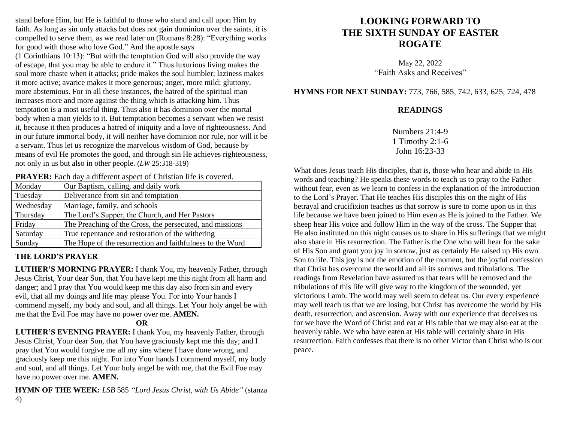stand before Him, but He is faithful to those who stand and call upon Him by faith. As long as sin only attacks but does not gain dominion over the saints, it is compelled to serve them, as we read later on (Romans 8:28): "Everything works for good with those who love God." And the apostle says

(1 Corinthians 10:13): "But with the temptation God will also provide the way of escape, that you may be able to endure it." Thus luxurious living makes the soul more chaste when it attacks; pride makes the soul humbler; laziness makes it more active; avarice makes it more generous; anger, more mild; gluttony, more abstemious. For in all these instances, the hatred of the spiritual man increases more and more against the thing which is attacking him. Thus temptation is a most useful thing. Thus also it has dominion over the mortal body when a man yields to it. But temptation becomes a servant when we resist it, because it then produces a hatred of iniquity and a love of righteousness. And in our future immortal body, it will neither have dominion nor rule, nor will it be a servant. Thus let us recognize the marvelous wisdom of God, because by means of evil He promotes the good, and through sin He achieves righteousness, not only in us but also in other people. (*LW* 25:318-319)

**PRAYER:** Each day a different aspect of Christian life is covered.

| Monday    | Our Baptism, calling, and daily work                      |
|-----------|-----------------------------------------------------------|
| Tuesday   | Deliverance from sin and temptation                       |
| Wednesday | Marriage, family, and schools                             |
| Thursday  | The Lord's Supper, the Church, and Her Pastors            |
| Friday    | The Preaching of the Cross, the persecuted, and missions  |
| Saturday  | True repentance and restoration of the withering          |
| Sunday    | The Hope of the resurrection and faithfulness to the Word |
|           |                                                           |

#### **THE LORD'S PRAYER**

**LUTHER'S MORNING PRAYER:** I thank You, my heavenly Father, through Jesus Christ, Your dear Son, that You have kept me this night from all harm and danger; and I pray that You would keep me this day also from sin and every evil, that all my doings and life may please You. For into Your hands I commend myself, my body and soul, and all things. Let Your holy angel be with me that the Evil Foe may have no power over me. **AMEN.** 

#### **OR**

**LUTHER'S EVENING PRAYER:** I thank You, my heavenly Father, through Jesus Christ, Your dear Son, that You have graciously kept me this day; and I pray that You would forgive me all my sins where I have done wrong, and graciously keep me this night. For into Your hands I commend myself, my body and soul, and all things. Let Your holy angel be with me, that the Evil Foe may have no power over me. **AMEN.**

**HYMN OF THE WEEK:** *LSB* 585 *"Lord Jesus Christ, with Us Abide"* (stanza 4)

# **LOOKING FORWARD TO THE SIXTH SUNDAY OF EASTER ROGATE**

May 22, 2022 "Faith Asks and Receives"

**HYMNS FOR NEXT SUNDAY:** 773, 766, 585, 742, 633, 625, 724, 478

## **READINGS**

Numbers 21:4-9 1 Timothy 2:1-6 John 16:23-33

What does Jesus teach His disciples, that is, those who hear and abide in His words and teaching? He speaks these words to teach us to pray to the Father without fear, even as we learn to confess in the explanation of the Introduction to the Lord's Prayer. That He teaches His disciples this on the night of His betrayal and crucifixion teaches us that sorrow is sure to come upon us in this life because we have been joined to Him even as He is joined to the Father. We sheep hear His voice and follow Him in the way of the cross. The Supper that He also instituted on this night causes us to share in His sufferings that we might also share in His resurrection. The Father is the One who will hear for the sake of His Son and grant you joy in sorrow, just as certainly He raised up His own Son to life. This joy is not the emotion of the moment, but the joyful confession that Christ has overcome the world and all its sorrows and tribulations. The readings from Revelation have assured us that tears will be removed and the tribulations of this life will give way to the kingdom of the wounded, yet victorious Lamb. The world may well seem to defeat us. Our every experience may well teach us that we are losing, but Christ has overcome the world by His death, resurrection, and ascension. Away with our experience that deceives us for we have the Word of Christ and eat at His table that we may also eat at the heavenly table. We who have eaten at His table will certainly share in His resurrection. Faith confesses that there is no other Victor than Christ who is our peace.